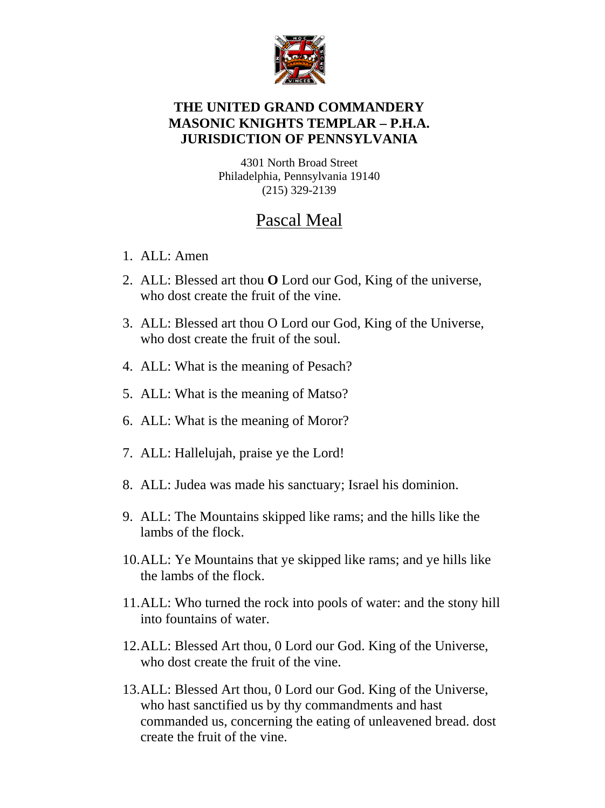

## **THE UNITED GRAND COMMANDERY MASONIC KNIGHTS TEMPLAR – P.H.A. JURISDICTION OF PENNSYLVANIA**

4301 North Broad Street Philadelphia, Pennsylvania 19140 (215) 329-2139

## Pascal Meal

- 1. ALL: Amen
- 2. ALL: Blessed art thou **O** Lord our God, King of the universe, who dost create the fruit of the vine.
- 3. ALL: Blessed art thou O Lord our God, King of the Universe, who dost create the fruit of the soul.
- 4. ALL: What is the meaning of Pesach?
- 5. ALL: What is the meaning of Matso?
- 6. ALL: What is the meaning of Moror?
- 7. ALL: Hallelujah, praise ye the Lord!
- 8. ALL: Judea was made his sanctuary; Israel his dominion.
- 9. ALL: The Mountains skipped like rams; and the hills like the lambs of the flock.
- 10.ALL: Ye Mountains that ye skipped like rams; and ye hills like the lambs of the flock.
- 11.ALL: Who turned the rock into pools of water: and the stony hill into fountains of water.
- 12.ALL: Blessed Art thou, 0 Lord our God. King of the Universe, who dost create the fruit of the vine.
- 13.ALL: Blessed Art thou, 0 Lord our God. King of the Universe, who hast sanctified us by thy commandments and hast commanded us, concerning the eating of unleavened bread. dost create the fruit of the vine.